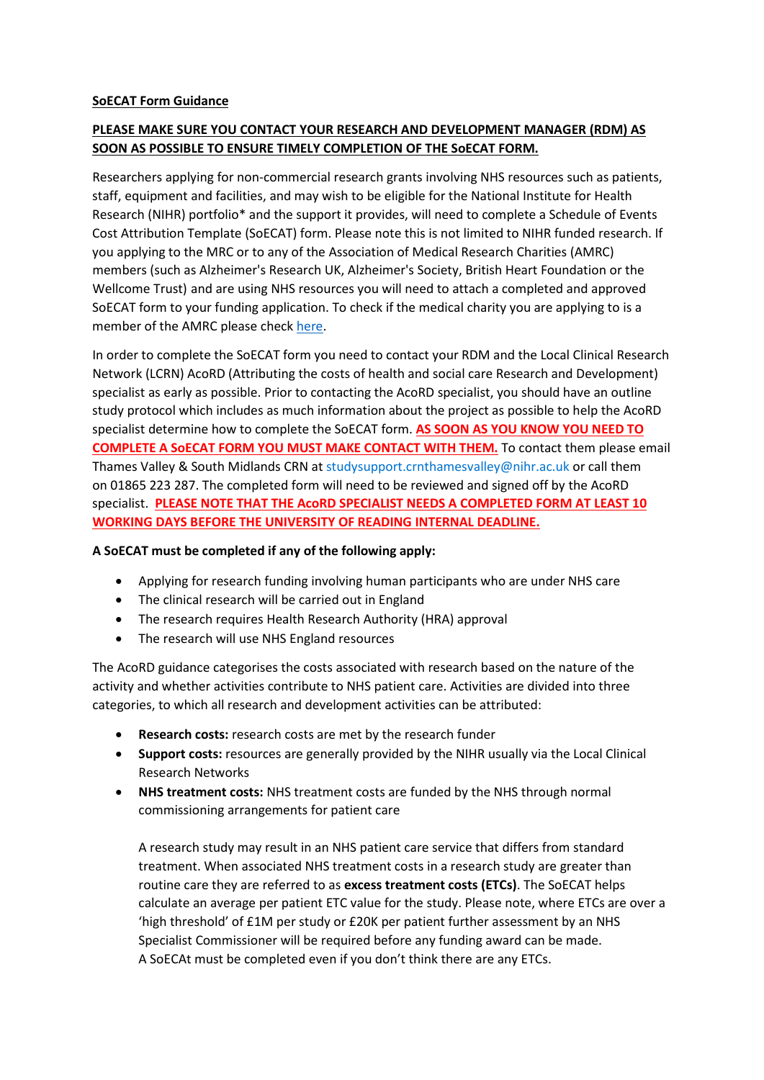### **SoECAT Form Guidance**

# **PLEASE MAKE SURE YOU CONTACT YOUR RESEARCH AND DEVELOPMENT MANAGER (RDM) AS SOON AS POSSIBLE TO ENSURE TIMELY COMPLETION OF THE SoECAT FORM.**

Researchers applying for non-commercial research grants involving NHS resources such as patients, staff, equipment and facilities, and may wish to be eligible for the National Institute for Health Research (NIHR) portfolio\* and the support it provides, will need to complete a Schedule of Events Cost Attribution Template (SoECAT) form. Please note this is not limited to NIHR funded research. If you applying to the MRC or to any of the Association of Medical Research Charities (AMRC) members (such as Alzheimer's Research UK, Alzheimer's Society, British Heart Foundation or the Wellcome Trust) and are using NHS resources you will need to attach a completed and approved SoECAT form to your funding application. To check if the medical charity you are applying to is a member of the AMRC please check [here.](https://www.amrc.org.uk/pages/category/member-directory)

In order to complete the SoECAT form you need to contact your RDM and the Local Clinical Research Network (LCRN) AcoRD (Attributing the costs of health and social care Research and Development) specialist as early as possible. Prior to contacting the AcoRD specialist, you should have an outline study protocol which includes as much information about the project as possible to help the AcoRD specialist determine how to complete the SoECAT form. **AS SOON AS YOU KNOW YOU NEED TO COMPLETE A SoECAT FORM YOU MUST MAKE CONTACT WITH THEM.** To contact them please email Thames Valley & South Midlands CRN at [studysupport.crnthamesvalley@nihr.ac.uk](mailto:studysupport.crnthamesvalley@nihr.ac.uk) or call them on 01865 223 287. The completed form will need to be reviewed and signed off by the AcoRD specialist. **PLEASE NOTE THAT THE AcoRD SPECIALIST NEEDS A COMPLETED FORM AT LEAST 10 WORKING DAYS BEFORE THE UNIVERSITY OF READING INTERNAL DEADLINE.** 

### **A SoECAT must be completed if any of the following apply:**

- Applying for research funding involving human participants who are under NHS care
- The clinical research will be carried out in England
- The research requires Health Research Authority (HRA) approval
- The research will use NHS England resources

The AcoRD guidance categorises the costs associated with research based on the nature of the activity and whether activities contribute to NHS patient care. Activities are divided into three categories, to which all research and development activities can be attributed:

- **Research costs:** research costs are met by the research funder
- **Support costs:** resources are generally provided by the NIHR usually via the Local Clinical Research Networks
- **NHS treatment costs:** NHS treatment costs are funded by the NHS through normal commissioning arrangements for patient care

A research study may result in an NHS patient care service that differs from standard treatment. When associated NHS treatment costs in a research study are greater than routine care they are referred to as **excess treatment costs (ETCs)**. The SoECAT helps calculate an average per patient ETC value for the study. Please note, where ETCs are over a 'high threshold' of £1M per study or £20K per patient further assessment by an NHS Specialist Commissioner will be required before any funding award can be made. A SoECAt must be completed even if you don't think there are any ETCs.